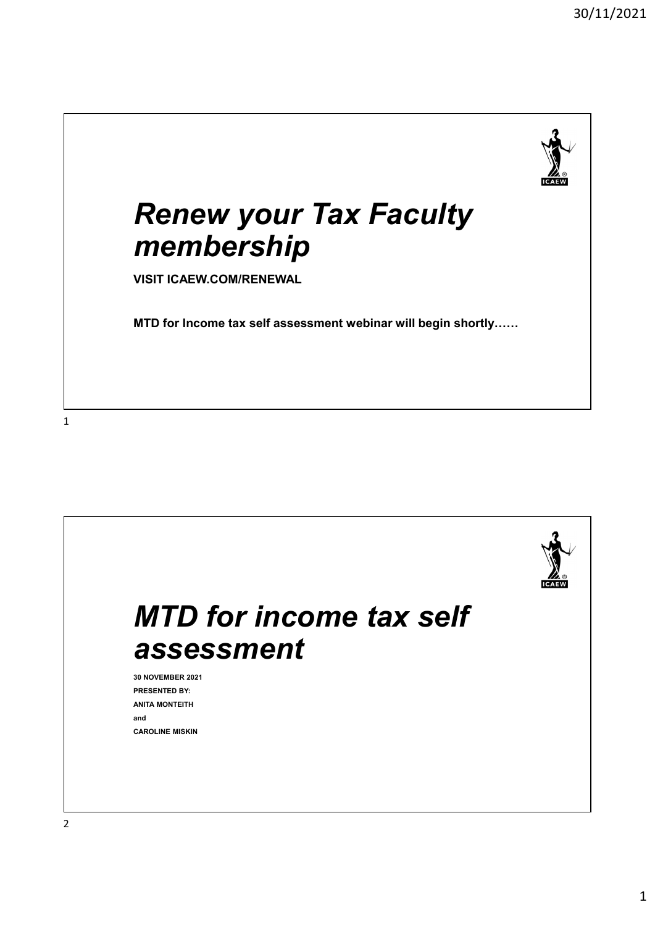

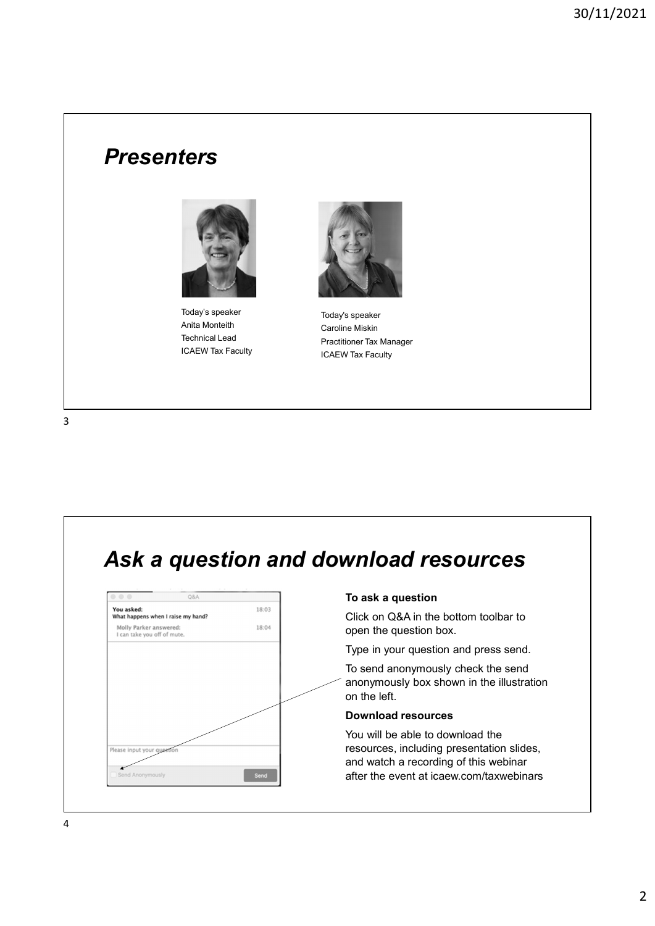#### **Presenters**



Today's speaker ICAEW Tax Faculty



Anita Monteith Caroline Miskin Technical Lead Practitioner Tax Manager Today's speaker ICAEW Tax Faculty

#### Ask a question and download resources



#### To ask a question

Click on Q&A in the bottom toolbar to open the question box.

Type in your question and press send.

To send anonymously check the send anonymously box shown in the illustration on the left.

#### Download resources

You will be able to download the resources, including presentation slides, and watch a recording of this webinar after the event at icaew.com/taxwebinars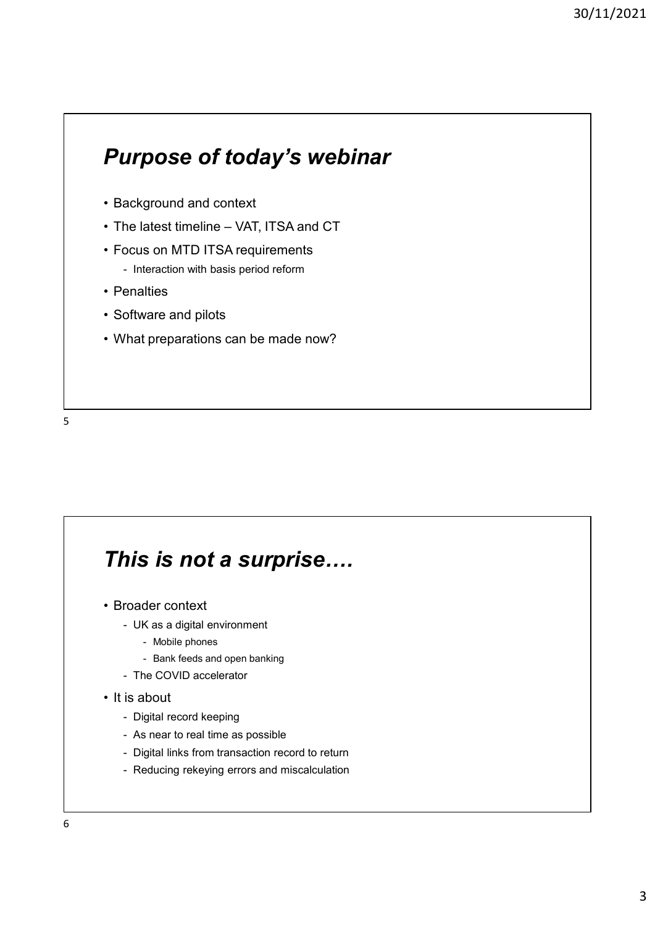# Purpose of today's webinar **Purpose of today's webinar**<br>• Background and context<br>• The latest timeline – VAT, ITSA and CT<br>• Focus on MTD ITSA requirements<br>• Interaction with basis period reform <sup>30/</sup><br> **Purpose of today's webinar**<br>
• Background and context<br>
• The latest timeline – VAT, ITSA and CT<br>
• Focus on MTD ITSA requirements<br>
• Interaction with basis period reform<br>
• Penalties **Purpose of today's webinar**<br>• Background and context<br>• The latest timeline – VAT, ITSA and CT<br>• Focus on MTD ITSA requirements<br>• Interaction with basis period reform<br>• Penalties<br>• Software and pilots 30/<br> **urpose of today's webinar**<br>
ackground and context<br>
he latest timeline – VAT, ITSA and CT<br>
pous on MTD ITSA requirements<br>
- Interaction with basis period reform<br>
enalties<br>
oftware and pilots<br>
(hat preparations can be **Purpose of today's webinar**<br>• Background and context<br>• The latest timeline – VAT, ITSA and CT<br>• Focus on MTD ITSA requirements<br>• Interaction with basis period reform<br>• Penalties<br>• Software and pilots<br>• What preparations c **Purpose of today's webinar**<br>• Background and context<br>• The latest timeline – VAT, ITSA and CT<br>• Focus on MTD ITSA requirements<br>• Interaction with basis period reform<br>• Penalties<br>• Software and pilots<br>• What preparations c **Purpose of today's webinar**<br>• Background and context<br>• The latest timeline – VAT, ITSA and CT<br>• Focus on MTD ITSA requirements<br>• Interaction with basis period reform<br>• Penalties<br>• Software and pilots<br>• What preparations c

- 
- 
- -
- 
- 
- 



## This is not a surprise…. • What preparations can be made now?<br>• What preparations can be made now?<br>• Broader context<br>• Broader context<br>• UK as a digital environment<br>• Rank feeds and open banking<br>• The COVID accelerator. That preparations can be made now?<br>
his is not a surprise....<br>
roader context<br>
- UK as a digital environment<br>
- Mobile phones<br>
- The COVID accelerator<br>
- The COVID accelerator **S is not a surprise....**<br>
der context<br>
K as a digital environment<br>
- Mobile phones<br>
- Bank feeds and open banking<br>
ne COVID accelerator<br>
bout **S is not a surprise....**<br>
der context<br>
K as a digital environment<br>
- Mobile phones<br>
- Bank feeds and open banking<br>
e COVID accelerator<br>
bout<br>
gital record keeping **his is not a surprise....**<br>
From Conder context<br>
- UK as a digital environment<br>
- Mobile phones<br>
- Bank feeds and open banking<br>
- The COVID accelerator<br>
is about<br>
- Digital record keeping<br>
- As near to real time as possib This is not a surprise....<br>
• Broader context<br>
• UK as a digital environment<br>
• Mobile phones<br>
• Bank feeds and open banking<br>
• The COVID accelerator<br>
• It is about<br>
• Digital record keeping<br>
• As near to real time as poss **his is not a surprise....**<br>
Trode context<br>
- UK as a digital environment<br>
- Mobile phones<br>
- Bank feeds and open banking<br>
- The COVID accelerator<br>
is about<br>
- Digital record keeping<br>
- As near to real time as possible<br>
 **his is not a surprise....**<br>
roader context<br>
- UK as a digital environment<br>
- Mobile phones<br>
- Bank feeds and open banking<br>
- The COVID accelerator<br>
is about<br>
- Digital record keeping<br>
- As near to real time as possible<br>
**his is not a surprise....**<br>
The version of the same of the same of the version record to return of the covid accelerator<br>
The COVID accelerator<br>
Sa shout<br>
Digital record keeping<br>
- As near to real time as possible<br>
- Digi **his is not a surprise....**<br>
From the same of the same of the same of the same of the same of the conduction<br>
The COVID accelerator<br>
Same The COVID accelerator<br>
Same to real time as possible<br>
- Digital links from transacti

- - -
		-
	-

- 
- 
- 
-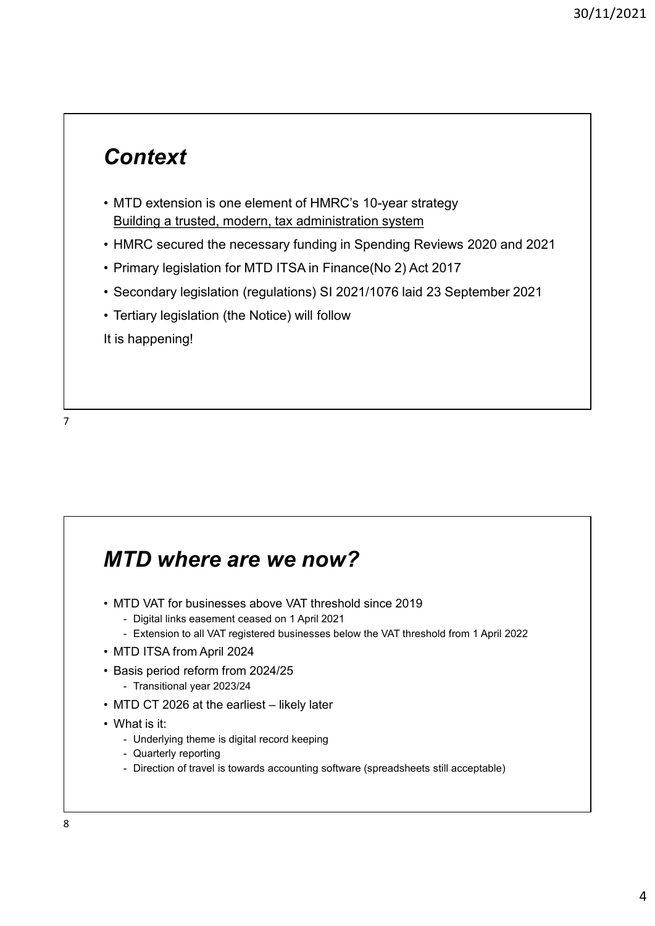#### **Context**

- 90/11/20<br>• MTD extension is one element of HMRC's 10-year strategy<br>• HMRC secured the necessary funding in Spending Reviews 2020 and 2021<br>• Primary legislation for MTD ITSA in Finance(No 2) Act 2017 Building a trusted, modern, tax administration system <sup>90/11/2021</sup><br>• MTD extension is one element of HMRC's 10-year strategy<br>• Building a trusted, modern, tax administration system<br>• HMRC secured the necessary funding in Spending Reviews 2020 and 2021<br>• Primary legislation (r 90/11/2021<br>• MTD extension is one element of HMRC's 10-year strategy<br>• Building a trusted, modern, tax administration system<br>• HMRC secured the necessary funding in Spending Reviews 2020 and 2021<br>• Primary legislation for 90/11/2021<br>• MTD extension is one element of HMRC's 10-year strategy<br>• Building a trusted, modern, tax administration system<br>• HMRC secured the necessary funding in Spending Reviews 2020 and 2021<br>• Primary legislation for Context<br>• MTD extension is one element of HMRC's 10-year strategy<br>• <u>Building a trusted, modern, tax administration system</u><br>• HMRC secured the necessary funding in Spending Reviews 2020 and 2021<br>• Primary legislation for
- 
- 
- 
- 

It is happening!

### MTD where are we now? • Heriary registation (the Notoce) will follow<br>
It is happening!<br>
• MTD VAT for businesses above VAT threshold since 2019<br>
• Digital links easement ceased on 1 April 2021<br>
• Extension to all VAT registered businesses below FID Where are we now?<br>TD VAT for businesses above VAT threshold since 2019<br>- Digital links easement ceased on 1 April 2021<br>- Extension to all VAT registered businesses below the VAT threshold from 1 April 2022<br>TD ITSA from TD Where are we now?<br>TD VAT for businesses above VAT threshold since 2019<br>- Digital links easement ceased on 1 April 2021<br>- Extension to all VAT registered businesses below the VAT threshold from 1 April 2022<br>TD ITSA from **MTD where are we now?**<br>• MTD VAT for businesses above VAT threshold since 2019<br>• Digital links easement ceased on 1 April 2021<br>• Extension to all VAT registered businesses below the VAT threshold from<br>• MTD ITSA from Apri **MTD where are we now?**<br>• MTD VAT for businesses above VAT threshold since 2019<br>• Digital links easement ceased on 1 April 2021<br>• Extension to all VAT registered businesses below the VAT threshold from 1 A<br>• MTD ITSA from **TD where are we now?**<br>TD VAT for businesses above VAT threshold since 2019<br>- Digital links easement ceased on 1 April 2021<br>- Extension to all VAT registered businesses below the VAT threshold from 1 Ap<br>TD ITSA from April MTD where are we now?<br>• MTD VAT for businesses above VAT threshold since 2019<br>• Digital links easement ceased on 1 April 2021<br>• Extension to all VAT registered businesses below the VAT threshold from 1 April 2022<br>• MTD IT **MTD where are we now?**<br>• MTD VAT for businesses above VAT threshold since 2019<br>• Digital links easement ceased on 1 April 2021<br>• Extension to all VAT registered businesses below the VAT threshold from<br>• MTD ITSA from Apri TD Where are We now?<br>TD VAT for businesses above VAT threshold since 2019<br>- Digital links easement ceased on 1 April 2021<br>- Extension to all VAT registered businesses below the VAT threshold from 1 April 202<br>TD ITSA from A **TD where are we now?**<br>TD VAT for businesses above VAT threshold since 2019<br>- Digital links easement ceased on 1 April 2021<br>- Extension to all VAT registered businesses below the VAT threshold from 1 April<br>TD ITSA from Apr TD Where are we now?<br>
TD VAT for businesses above VAT threshold since 2019<br>
- Digital links easement cassed on 1 April 2021<br>
- Extension to all VAT registered businesses below the VAT threshold from 1 April 2022<br>
TD ITSA f

- -
	-
- 
- -
- 

- 
- 
-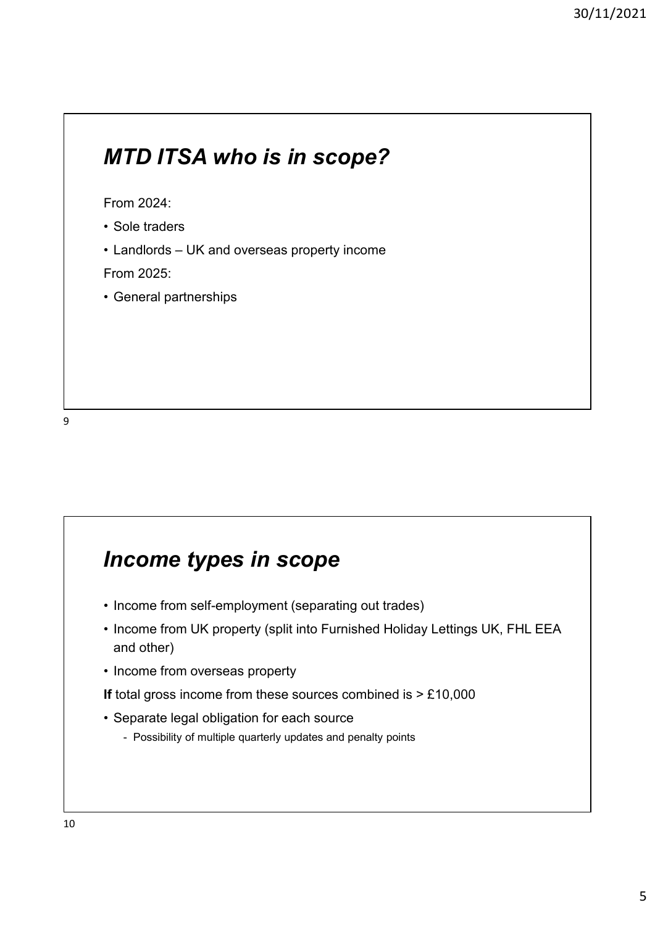# MTD ITSA who is in scope? MTD ITSA who is in scope?<br>
From 2024:<br>• Sole traders<br>• Landlords – UK and overseas property income<br>
From 2025:<br>• General partnerships **MTD ITSA who is in scope?**<br>
From 2024:<br>• Sole traders<br>• Landlords – UK and overseas property income<br>
From 2025:<br>• General partnerships MTD ITSA who is in scope?<br>
From 2024:<br>• Sole traders<br>• Landlords – UK and overseas property income<br>
From 2025:<br>• General partnerships

From 2024:

- 
- 

From 2025:

9

#### Income types in scope

- 
- **Income types in scope**<br>• Income from self-employment (separating out trades)<br>• Income from UK property (split into Furnished Holiday Lettings UK, FHL E<br>• Income from overseas property **Income types in scope**<br>• Income from self-employment (separating out trades)<br>• Income from UK property (split into Furnished Holiday Lettings UK, FHL EEA<br>• Income from overseas property<br>If total gross income from these so and other) **Income types in scope**<br>• Income from self-employment (separating out trades)<br>• Income from UK property (split into Furnished Holiday Lettings<br>• Income from overseas property<br>If total gross income from these sources combin **Income types in scope**<br>• Income from self-employment (separating out trades)<br>• Income from UK property (split into Furnished Holiday Lettings<br>and other)<br>• Income from overseas property<br>If total gross income from these sou **COME types in scope**<br>
scome from self-employment (separating out trades)<br>
scome from UK property (split into Furnished Holiday Lettings UK, FHL EEA<br>
nd other)<br>
scome from overseas property<br>
stal gross income from these so
- 

If total gross income from these sources combined is  $> \pounds 10,000$ 

- -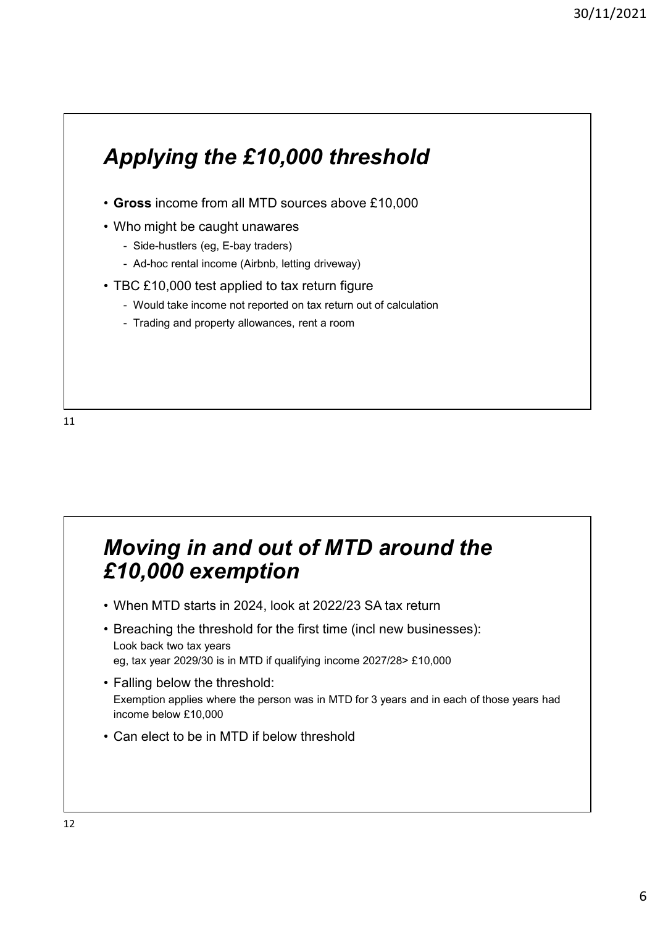## Applying the £10,000 threshold • Gross income from all MTD sources above £10,000 **Applying the £10,000 threshold**<br>• Gross income from all MTD sources above £10,000<br>• Who might be caught unawares<br>• Side-hustlers (eg, E-bay traders)<br>• Ad-hoc rental income (Airbnb, letting driveway)<br>• TBC £10,000 test app **oplying the £10,000 threshold**<br>
ross income from all MTD sources above £10,000<br>
tho might be caught unawares<br>
- Side-hustlers (eg, E-bay traders)<br>
- Ad-hoc rental income (Airbnb, letting driveway)<br>
BC £10,000 test applie **oplying the £10,000 threshold**<br>
ross income from all MTD sources above £10,000<br>
tho might be caught unawares<br>
- Side-hustlers (eg, E-bay traders)<br>
- Ad-hoc rental income (Airbnb, letting driveway)<br>
BC £10,000 test applied **Applying the £10,000 threshold**<br>• Gross income from all MTD sources above £10,000<br>• Who might be caught unawares<br>• Side-hustlers (eg, E-bay traders)<br>• Ad-hoc rental income (Airbnb, letting driveway)<br>• TBC £10,000 test app **oplying the £10,000 threshold**<br> **ross** income from all MTD sources above £10,000<br>
Tho might be caught unawares<br>
- Side-hustlers (eg, E-bay traders)<br>
- Ad-hoc rental income (Airbnb, letting driveway)<br>
- McDot to a return f **oplying the £10,000 threshold**<br>
ross income from all MTD sources above £10,000<br>
tho might be caught unawares<br>
- Side-hustlers (eg, E-bay traders)<br>
- Ad-hoc rental income (Airbnb, letting driveway)<br>
BC £10,000 test applied

- 
- -
	-

# Moving in and out of MTD around the £10,000 exemption • Trading and property allowances, rent a room<br> **Moving in and out of MTD around the**<br> **£10,000 exemption**<br>
• When MTD starts in 2024, look at 2022/23 SA tax return<br>
• Breaching the threshold for the first time (incl new **Moving in and out of MTD around the<br>
£10,000 exemption**<br>• When MTD starts in 2024, look at 2022/23 SA tax return<br>• Breaching the threshold for the first time (incl new businesses):<br>
Look back two tax years<br>• Ealling below Moving in and out of MTD around the<br>
£10,000 exemption<br>
• When MTD starts in 2024, look at 2022/23 SA tax return<br>
• Breaching the threshold for the first time (incl new businesses<br>
Look back two tax years<br>
• Falling below **Moving in and out of MTD around the following in and out of MTD around the flat to be in MTD starts in 2024, look at 2022/23 SA tax return . Breaching the threshold for the first time (incl new businesses Look back two t**

- 
- Look back two tax years eg, tax year 2029/30 is in MTD if qualifying income 2027/28> £10,000
- Exemption applies where the person was in MTD for 3 years and in each of those years had income below £10,000
-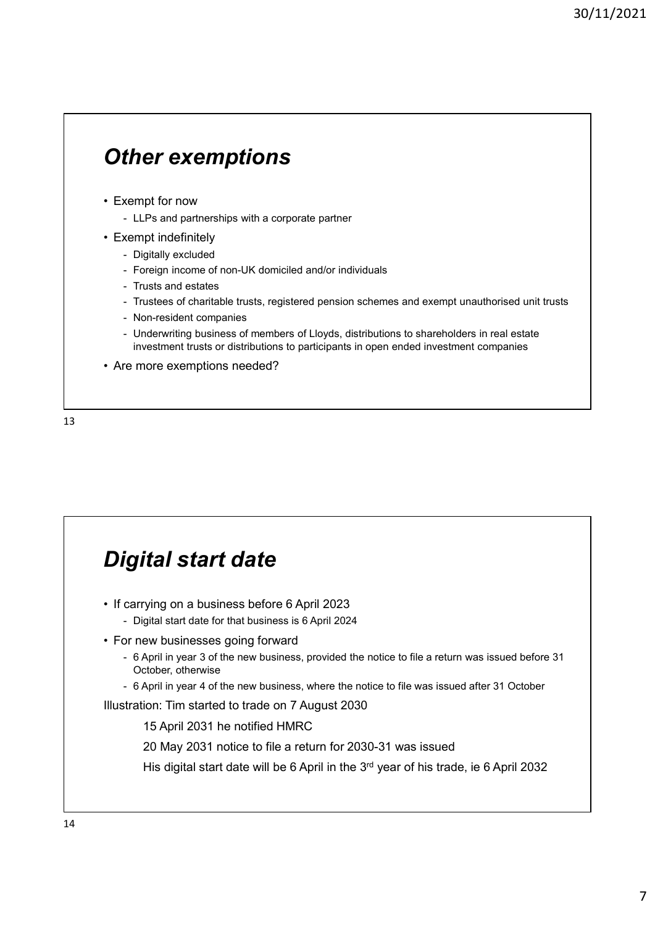# Other exemptions **Other exemptions**<br>
• Exempt for now<br>
• LLPs and partnerships with a corporate partner<br>
• Exempt indefinitely<br>
• Digitally excluded<br>
– Foreion income of non-UK domiciled and/or individuals **ther exemptions**<br>
<br>
exempt for now<br>
- LLPs and partnerships with a corporate partner<br>
xempt indefinitely<br>
- Digitally excluded<br>
- Foreign income of non-UK domiciled and/or individuals<br>- Trusts and estates **Other exemptions**<br>
• Exempt for now<br>
• LLPs and partnerships with a corporate partner<br>
• Exempt indefinitely<br>
• Digitally excluded<br>
– Foreign income of non-UK domiciled and/or individuals<br>
– Trusts and estates<br>
– Trustees

- -
- -
	-
	-
- **ther exemptions**<br>
<br>
We approve the property of the corporate partner<br>
<br>
<br>
The constructed and/or individuals<br>
 Trusts and estates<br>
 Trusts and estates<br>
 Trustees of charitable trusts, registered pension schemes and exe
	-
- **ther exemptions**<br>
empt for now<br>
 LLPs and partnerships with a corporate partner<br>
xempt indefinitely<br>
 Digitally excluded<br>
 Trustes of charitable trusts, registered pension schemes and exempt unauthorised unit trust<br>
 **ther exemptions**<br>
<br>
Sexempt for now<br>
- LLPs and partnerships with a corporate partner<br>
- Digitally excluded<br>
- Foreign income of non-UK domiciled and/or individuals<br>
- Trusts and estates<br>
- Trustess of charitable trusts, **ther exemptions**<br> **Example the computations**<br>
Trustees of charitable trusts, registered pension schemes and exempt unauthorised unit trusts<br>
- Trustes of charitable trusts, registered pension schemes and exempt unauthoris **ther exemptions**<br>
- LLPs and partnerships with a corporate partner<br>
- LLPs and partnerships with a corporate partner<br>
- Digitally excluded<br>
- Foreign income of non-UK domiciled and/or individuals<br>
- Trusts and estates<br>
 ther exemptions<br>
- LLPs and partnerships with a corporate partner<br>
- Digitally excluded<br>
- Toreign income of non-UK domiciled and/or individuals<br>
- Trusts and estates<br>
- Tursts and estates<br>
- Tursts and estates<br>
- Non-resi investment trusts or distributions to participants in open ended investment companies **Other exemptions**<br>• Exempt for now<br>• LLPs and partnerships with a corporate partner<br>• Exempt indefinitely<br>• Digitally excluded<br>• Foreign income of non-UK domiciled and/or individuals<br>• Trustess and estates<br>• Trustees of c
- 



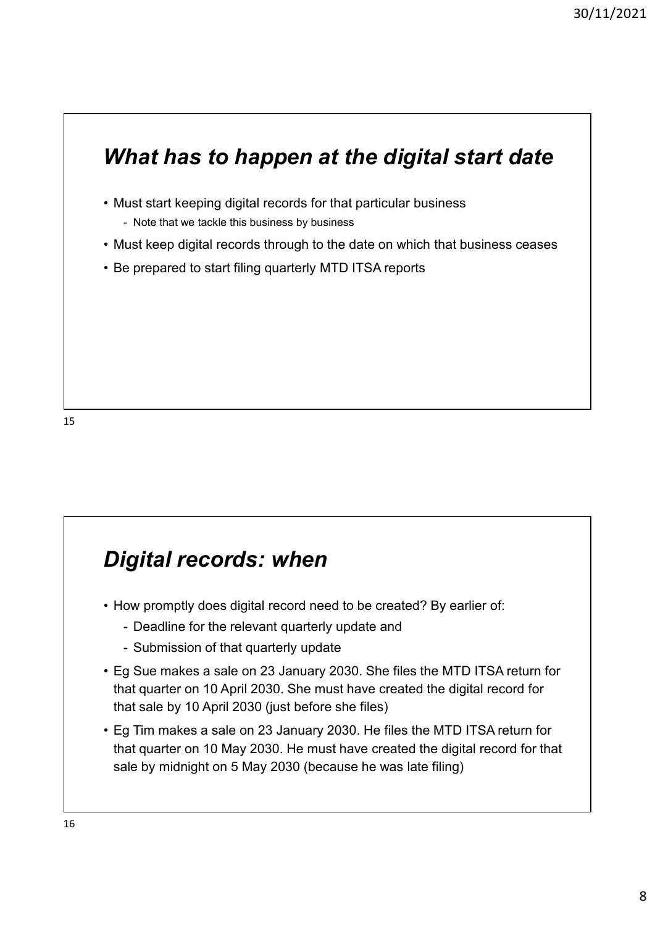# What has to happen at the digital start date <sup>30/11/202</sup><br> **What has to happen at the digital start date**<br>
• Must start keeping digital records for that particular business<br>
• Note that we tackle this business by business<br>
• Rust keep digital records through to the da **That has to happen at the digital start data)**<br>Nust start keeping digital records for that particular business<br>- Note that we tackle this business by business<br>ust keep digital records through to the date on which that bus <sup>90/11/2021</sup><br>• **What has to happen at the digital start date**<br>• Must start keeping digital records for that particular business<br>• Note that we tacke this business by business<br>• Be prepared to start filing quarterly MTD ITS **What has to happen at the digital start date**<br>• Must start keeping digital records for that particular business<br>• Note that we tackle this business by business<br>• Be prepared to start filing quarterly MTD ITSA reports<br>• Be

- -
- 
- 

#### Digital records: when

- -
	-
- **Digital records: when**<br>• How promptly does digital record need to be created? By earlier of:<br>• Deadline for the relevant quarterly update and<br>• Submission of that quarterly update<br>• Eg Sue makes a sale on 23 January 203 **igital records: when**<br>
every promptive designtal record need to be created? By earlier of:<br>
- Deadline for the relevant quarterly update and<br>
- Submission of that quarterly update<br>
g Sue makes a sale on 23 January 2030. S **igital records: when**<br>
ow promptly does digital record need to be created? By earlier of:<br>
- Deadline for the relevant quarterly update and<br>
- Submission of that quarterly update<br>
g Sue makes a sale on 23 January 2030. Sh **Digital records: when**<br>• How promptly does digital record need to be created? By earlier of:<br>• Deadline for the relevant quarterly update<br>• Eg Sue makes a sale on 23 January 2030. She files the MTD ITSA return for<br>that qu that quarter on 10 April 2030. She must have created the digital record for that sale by 10 April 2030 (just before she files)
- **Digital records: when**<br>• How promptly does digital record need to be created? By earlier of:<br>• Deadline for the relevant quarterly update<br>• Eg Sue makes a sale on 23 January 2030. She files the MTD ITSA return for<br>that qu that quarter on 10 May 2030. He must have created the digital record for that sale by midnight on 5 May 2030 (because he was late filing)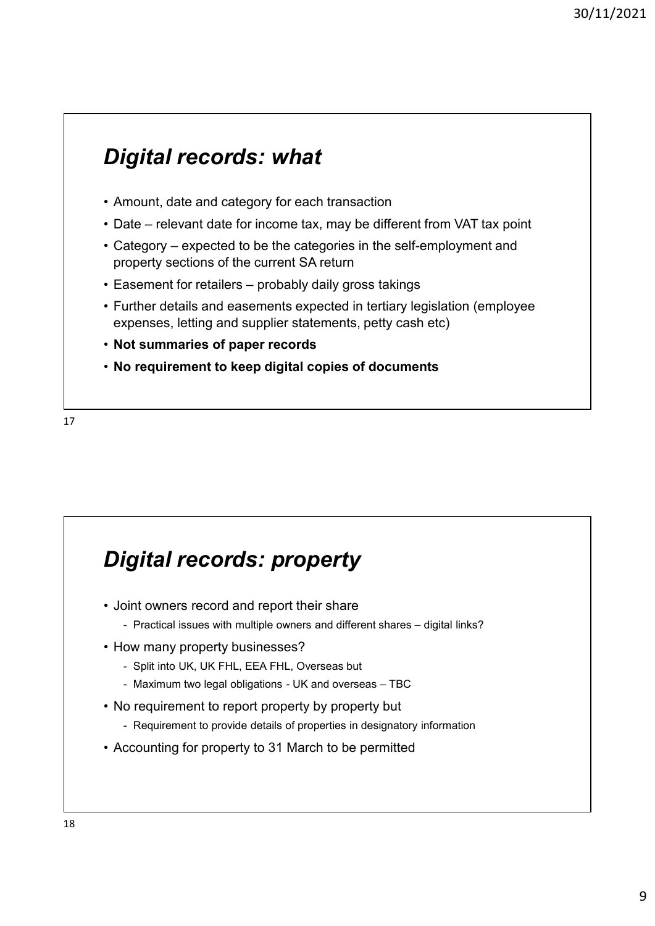#### Digital records: what

- 
- 
- 31<br> **Digital records: what**<br>
 Amount, date and category for each transaction<br>
 Date relevant date for income tax, may be different from VAT tax point<br>
 Category expected to be the categories in the self-employment a 90/11/20<br> **Digital records: what**<br>
• Amount, date and category for each transaction<br>
• Date – relevant date for income tax, may be different from VAT tax point<br>
• Category – expected to be the categories in the self-empl <sup>30/11/</sup><br> **Digital records: what**<br>
• Amount, date and category for each transaction<br>
• Date – relevant date for income tax, may be different from VAT tax point<br>
• Category – expected to be the categories in the self-employ property sections of the current SA return
- 
- <sup>30/11/</sup><br> **Digital records: what**<br>
 Amount, date and category for each transaction<br>
 Date relevant date for income tax, may be different from VAT tax point<br>
 Category expected to be the categories in the self-employ **Digital records: what**<br>• Amount, date and category for each transaction<br>• Date – relevant date for income tax, may be different from VAT tax point<br>• Category – expected to be the categories in the self-employment and<br>• pr expenses, letting and supplier statements, petty cash etc)
- Not summaries of paper records
- No requirement to keep digital copies of documents





- -
- -
	-
- -
-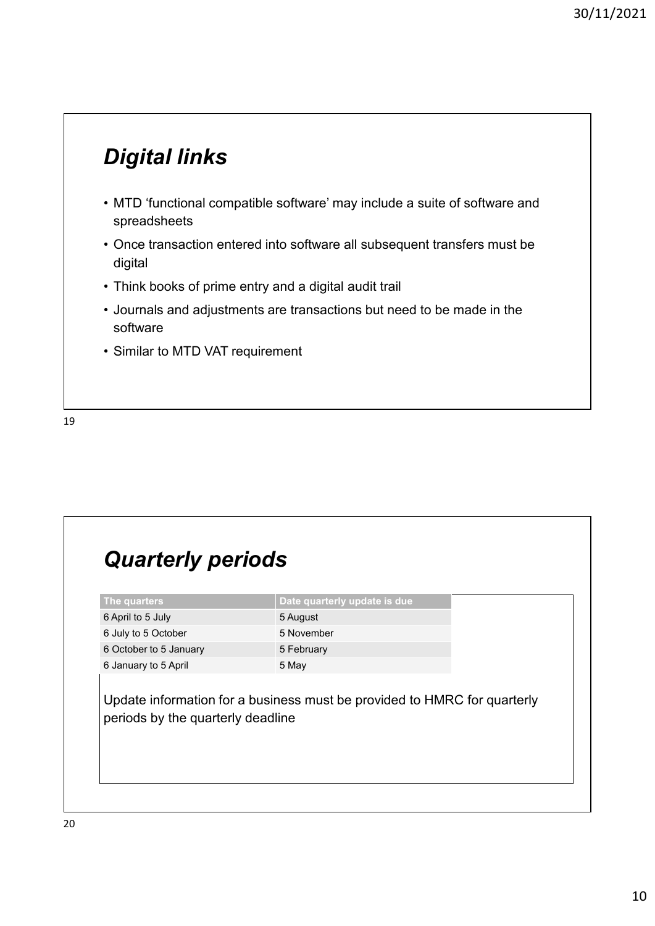#### Digital links

- oriental terms.<br>• MTD 'functional compatible software' may include a suite of software and<br>• Once transaction entered into software all subsequent transfers must be<br>• digital spreadsheets 90/11/20;<br> **Digital links**<br>
• MTD 'functional compatible software' may include a suite of software and<br>
• Think books of prime entry and a digital audit trail<br>
• Think books of prime entry and a digital audit trail<br>
• Jo **Digital links**<br>• MTD 'functional compatible software' may include a suite of so<br>spreadsheets<br>• Once transaction entered into software all subsequent transfer<br>digital<br>• Think books of prime entry and a digital audit trail<br> **Digital links**<br>• MTD 'functional compatible software' may include a suite of software and<br>spreadsheets<br>• Once transaction entered into software all subsequent transfers must be<br>digital<br>• Think books of prime entry and a d **Digital links**<br>• MTD 'functional compatible software' may include a suite of screadsheets<br>• Once transaction entered into software all subsequent transfe<br>digital<br>• Think books of prime entry and a digital audit trail<br>• Jo
- digital
- 
- software
- 

19

#### Quarterly periods

| • Similar to MTD VAT requirement                                                                           |                                                                          |  |
|------------------------------------------------------------------------------------------------------------|--------------------------------------------------------------------------|--|
|                                                                                                            |                                                                          |  |
|                                                                                                            |                                                                          |  |
|                                                                                                            |                                                                          |  |
|                                                                                                            |                                                                          |  |
|                                                                                                            |                                                                          |  |
|                                                                                                            |                                                                          |  |
|                                                                                                            |                                                                          |  |
|                                                                                                            |                                                                          |  |
|                                                                                                            |                                                                          |  |
| <b>Quarterly periods</b>                                                                                   |                                                                          |  |
|                                                                                                            | Date quarterly update is due                                             |  |
|                                                                                                            | 5 August                                                                 |  |
|                                                                                                            | 5 November                                                               |  |
|                                                                                                            | 5 February                                                               |  |
| The quarters<br>6 April to 5 July<br>6 July to 5 October<br>6 October to 5 January<br>6 January to 5 April | 5 May                                                                    |  |
|                                                                                                            |                                                                          |  |
|                                                                                                            | Update information for a business must be provided to HMRC for quarterly |  |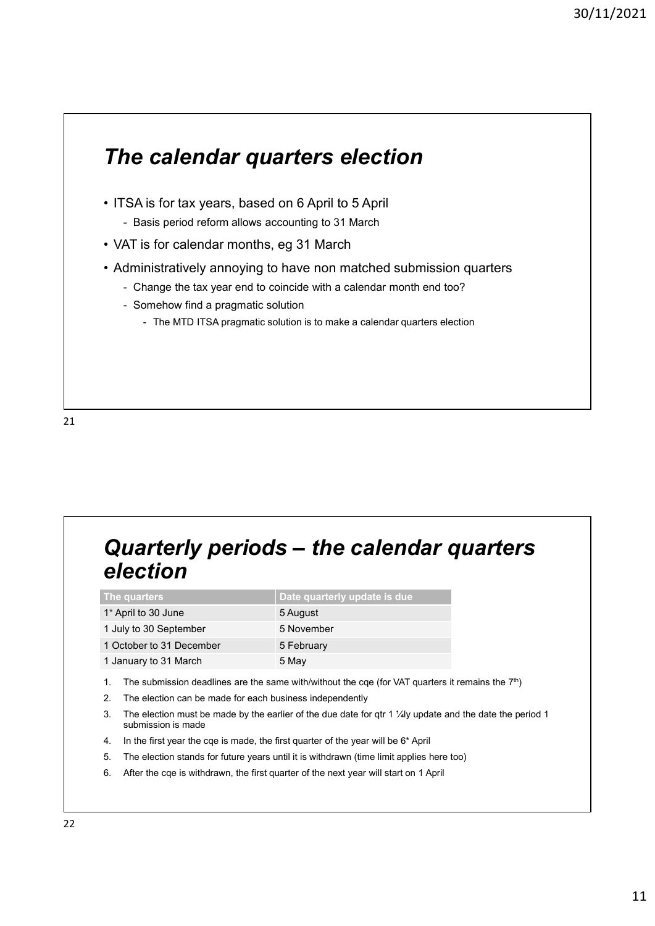# The calendar quarters election The calendar quarters election<br>• ITSA is for tax years, based on 6 April to 5 April<br>• Basis period reform allows accounting to 31 March<br>• VAT is for calendar months, eg 31 March<br>• Administratively annoying to have non matc **he calendar quarters election**<br>- SA is for tax years, based on 6 April to 5 April<br>- Basis period reform allows accounting to 31 March<br>AT is for calendar months, eg 31 March<br>dministratively annoying to have non matched sub <sup>30/11/2021</sup><br> **The calendar quarters election**<br>
• ITSA is for tax years, based on 6 April to 5 April<br>
• Basis period reform allows accounting to 31 March<br>
• VAT is for calendar months, eg 31 March<br>
• Administratively annoy <sup>30/11/2021<br>
• ITSA is for tax years, based on 6 April to 5 April<br>
• Basis period reform allows accounting to 31 March<br>
• VAT is for calendar months, eg 31 March<br>
• Administratively annoying to have non matched submission </sup> 30/11/2021<br> **he calendar quarters election**<br>
SA is for tax years, based on 6 April to 5 April<br>
- Basis period reform allows accounting to 31 March<br>
AT is for calendar months, eg 31 March<br>
- Change the tax year end to coinc **he calendar quarters election**<br>
SA is for tax years, based on 6 April to 5 April<br>
- Basis period reform allows accounting to 31 March<br>
AT is for calendar months, eg 31 March<br>
dministratively annoying to have non matched s **Calendar quarters election**<br>is for tax years, based on 6 April to 5 April<br>siss period reform allows accounting to 31 March<br>sfor calendar months, eg 31 March<br>inistratively annoying to have non matched submission quarters<br>a • Administratively annoying to have non matched submission quarters<br>
• Change the tax year end to coincide with a calendar month end too?<br>
• The MTD ITSA pragmatic solution is to make a calendar quarters election<br>
• The MT - The MTD ITSA pragmatic solution is to make a calendar quarters election<br> **Quarterly periods - the calendar quarters**<br> **Election**<br>
The quarters<br>
The particus of the context of the context of the context<br>
They it is all be **Quarterly periods — the calendar quarters<br>
election**<br>
The quarter<br>
The quarters<br>
The principal base quarterly update is due<br>
Theyin to 30 September<br>
1 Juntary to 31 December<br>
1 Detailers in the Sharp supply to 30 Septembe

## election

|                                                                | Quarterly periods - the calendar quarters                                                                                     |
|----------------------------------------------------------------|-------------------------------------------------------------------------------------------------------------------------------|
| election                                                       |                                                                                                                               |
|                                                                |                                                                                                                               |
| The quarters                                                   | Date quarterly update is due                                                                                                  |
| 1* April to 30 June                                            | 5 August                                                                                                                      |
| 1 July to 30 September                                         | 5 November                                                                                                                    |
| 1 October to 31 December                                       | 5 February                                                                                                                    |
| 1 January to 31 March                                          | 5 May                                                                                                                         |
| 1.                                                             | The submission deadlines are the same with/without the cqe (for VAT quarters it remains the $7th$ )                           |
| 2.<br>The election can be made for each business independently |                                                                                                                               |
| 3.<br>submission is made                                       | The election must be made by the earlier of the due date for $\frac{df}{dx}$ 1 $\frac{1}{4}$ update and the date the period 1 |
| 4.                                                             | In the first year the cqe is made, the first quarter of the year will be 6* April                                             |
| 5.                                                             | The election stands for future years until it is withdrawn (time limit applies here too)                                      |
| 6.                                                             | After the cqe is withdrawn, the first quarter of the next year will start on 1 April                                          |
|                                                                |                                                                                                                               |
|                                                                |                                                                                                                               |
|                                                                |                                                                                                                               |
|                                                                |                                                                                                                               |
|                                                                |                                                                                                                               |

- 
- 
- submission is made
- 
- 
-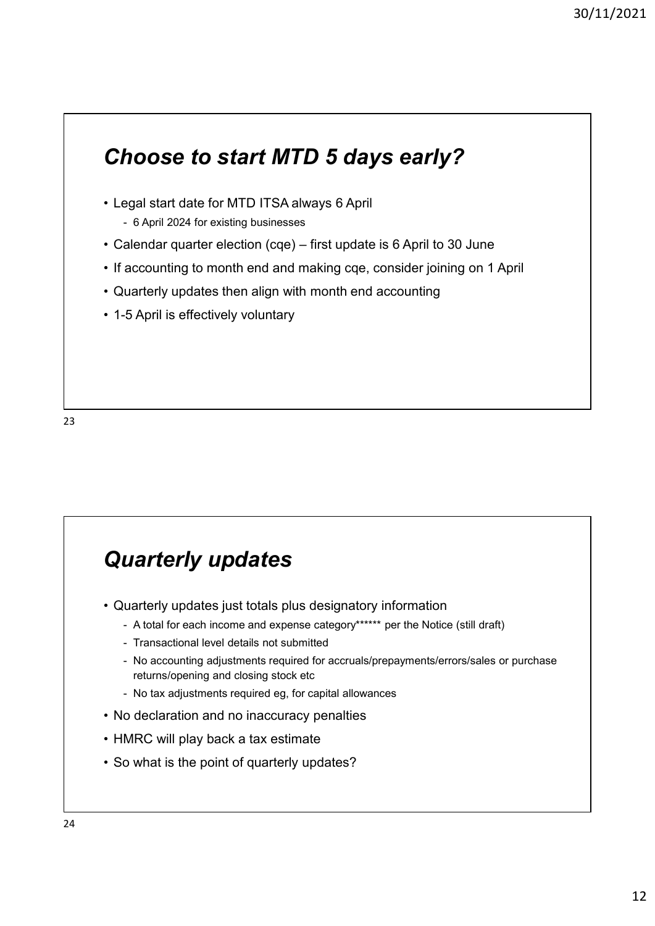# Choose to start MTD 5 days early? Choose to start MTD 5 days early?<br>• Legal start date for MTD ITSA always 6 April<br>• 6 April 2024 for existing businesses<br>• Calendar quarter election (cqe) – first update is 6 April to 30 Ji<br>• If accounting to month end and moose to start MTD 5 days early?<br>
Hoose to start MTD 5 days early?<br>
Hegal start date for MTD ITSA always 6 April<br>
- 6 April 2024 for existing businesses<br>
alendar quarter election (cqe) – first update is 6 April to 30 June<br> <sup>30/11/2021</sup><br> **Choose to start MTD 5 days early?**<br>
• Legal start date for MTD ITSA always 6 April<br>
• 6 April 2024 for existing businesses<br>
• Calendar quarter election (cqe) – first update is 6 April to 30 June<br>
• If acco <sup>30/11/2</sup><br> **Choose to start MTD 5 days early?**<br>
• Legal start date for MTD ITSA always 6 April<br>
• 6 April 2024 for existing businesses<br>
• Calendar quarter election (cqe) – first update is 6 April to 30 June<br>
• If accountin <sup>30/11/20</sup><br> **Choose to start MTD 5 days early?**<br>
• Legal start date for MTD ITSA always 6 April<br>
• 6 April 2024 for existing businesses<br>
• Calendar quarter election (cqe) – first update is 6 April to 30 June<br>
• If accounti **Choose to start MTD 5 days early?**<br>• Legal start date for MTD ITSA always 6 April<br>• 6 April 2024 for existing businesses<br>• Calendar quarter election (cqe) – first update is 6 April to 30 J<br>• If accounting to month end and

- -
- 
- 
- 
- 

#### Quarterly updates

- -
	-
- **Quarterly updates**<br>• Quarterly video is a strategy of the state of the state of the state of the state of the state of the Notal for each income and expense category\*\*\*\*\* per the Notice (still draft)<br>• Transactional level **uarterly updates**<br>- A total for each income and expense category\*\*\*\*\*\* per the Notice (still draft)<br>- A total for each income and expense category\*\*\*\*\*\* per the Notice (still draft)<br>- Transactional level details not submi Uarterly updates<br>
uarterly updates just totals plus designatory information<br>
- A total for each income and expense category\*\*\*\*\*\* per the Notice (still draft)<br>
- Transactional level details not submitted<br>
- No accounting a **Uarterly updates**<br>
uarterly updates just totals plus designatory information<br>
- A total for each income and expense category\*\*\*\*\*\* per the Notice (still draft)<br>
- Transactional level details not submitted<br>
- No accounting returns/opening and closing stock etc **Uarterly updates**<br>
University and the set of the set of the published and the published of the set of the set of the set of the<br>
- Transactional level details not submitted<br>
- No accounting adjustments required for accrua **Quarterly updates**<br>• Quarterly updates just totals plus designatory information<br>• A total for each income and expense category\*\*\*\*\*\*\* per the Notice (still draft)<br>• Transactional level details not submitted<br>• No accountin **Quarterly updates**<br>
• Quarterly updates just totals plus designatory information<br>
• A total for each income and expense category\*\*\*\*\*\* per the Notice (still draft)<br>
• Transactional level details not submitted<br>
• No accoun **Quarterly updates**<br>
• Quarterly updates just totals plus designatory information<br>
• A total for each income and expense category\*\*\*\*\*\* per the Notice (still draft)<br>
• Transactional level details not submitted<br>
• No accoun
	-
- 
- 
-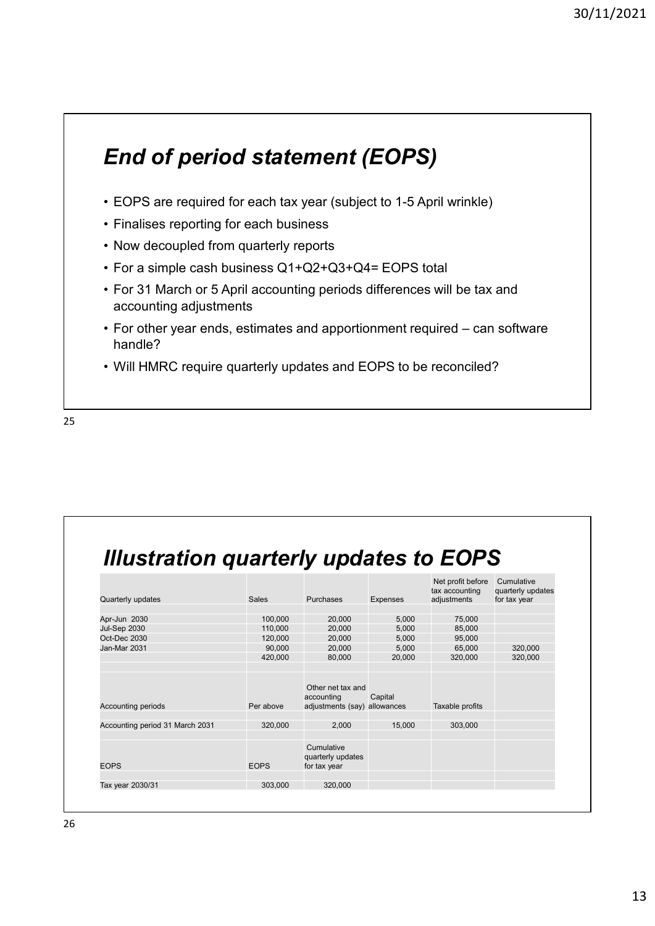# End of period statement (EOPS) 90/11<br> **End of period statement (EOPS)**<br>
• EOPS are required for each tax year (subject to 1-5 April wrinkle)<br>
• Finalises reporting for each business<br>
• Now decoupled from quarterly reports<br>
• For a simple cash business **End of period statement (EOPS)**<br>• EOPS are required for each tax year (subject to 1-5 April wrint)<br>• Finalises reporting for each business<br>• Now decoupled from quarterly reports<br>• For a simple cash business Q1+Q2+Q3+Q4= E

- 
- 
- 
- 
- End of period statement (EOPS)<br>• EOPS are required for each tax year (subject to 1-5 April wrinkle)<br>• Finalises reporting for each business<br>• Now decoupled from quarterly reports<br>• For a simple cash business Q1+Q2+Q3+Q4= E **End of period statement (EOPS)**<br>• EOPS are required for each tax year (subject to 1-5 April wrinkle)<br>• Finalises reporting for each business<br>• Now decoupled from quarterly reports<br>• For a simple cash business Q1+Q2+Q3+Q4 accounting adjustments
- 90/11/<br> **End of period statement (EOPS)**<br>
 EOPS are required for each tax year (subject to 1-5 April wrinkle)<br>
 Finalises reporting for each business<br>
 Now decoupled from quarterly reports<br>
 For a simple cash busines **End of period statement (EOPS)**<br>• EOPS are required for each tax year (subject to 1-5 April wrinkle)<br>• Finalises reporting for each business<br>• Now decoupled from quarterly reports<br>• For a simple cash business Q1+Q2+Q3+Q4 handle? **End of period statement (EOPS)**<br>• EOPS are required for each tax year (subject to 1-5 April wrinkle)<br>• Finalises reporting for each business<br>• For a simple cash business Q1+Q2+Q3+Q4= EOPS total<br>• For 31 March or 5 April
- 

| • Will HMRC require quarterly updates and EOPS to be reconciled? |                   |                              |                 |                                     |                                 |  |
|------------------------------------------------------------------|-------------------|------------------------------|-----------------|-------------------------------------|---------------------------------|--|
|                                                                  |                   |                              |                 |                                     |                                 |  |
|                                                                  |                   |                              |                 |                                     |                                 |  |
|                                                                  |                   |                              |                 |                                     |                                 |  |
|                                                                  |                   |                              |                 |                                     |                                 |  |
|                                                                  |                   |                              |                 |                                     |                                 |  |
|                                                                  |                   |                              |                 |                                     |                                 |  |
|                                                                  |                   |                              |                 |                                     |                                 |  |
|                                                                  |                   |                              |                 |                                     |                                 |  |
|                                                                  |                   |                              |                 |                                     |                                 |  |
|                                                                  |                   |                              |                 |                                     |                                 |  |
| <b>Illustration quarterly updates to EOPS</b>                    |                   |                              |                 |                                     |                                 |  |
|                                                                  |                   |                              |                 |                                     |                                 |  |
|                                                                  |                   |                              |                 |                                     |                                 |  |
|                                                                  |                   |                              |                 | Net profit before<br>tax accounting | Cumulative<br>quarterly updates |  |
| Quarterly updates                                                | Sales             | Purchases                    | <b>Expenses</b> | adjustments                         | for tax year                    |  |
| Apr-Jun 2030                                                     | 100,000           | 20,000                       | 5,000           | 75,000                              |                                 |  |
|                                                                  | 110,000           | 20,000                       | 5,000           | 85,000                              |                                 |  |
|                                                                  | 120,000           | 20,000                       | 5,000           | 95,000                              |                                 |  |
|                                                                  |                   |                              |                 |                                     |                                 |  |
| <b>Jul-Sep 2030</b><br>Oct-Dec 2030<br>Jan-Mar 2031              | 90,000<br>420,000 | 20,000<br>80,000             | 5,000<br>20,000 | 65,000<br>320,000                   | 320,000<br>320,000              |  |
|                                                                  |                   |                              |                 |                                     |                                 |  |
|                                                                  |                   | Other net tax and            |                 |                                     |                                 |  |
|                                                                  |                   | accounting                   | Capital         |                                     |                                 |  |
| <b>Accounting periods</b>                                        | Per above         | adjustments (say) allowances |                 | Taxable profits                     |                                 |  |
| Accounting period 31 March 2031                                  | 320,000           | 2,000                        | 15,000          | 303,000                             |                                 |  |
|                                                                  |                   |                              |                 |                                     |                                 |  |
|                                                                  |                   | Cumulative                   |                 |                                     |                                 |  |
|                                                                  |                   | quarterly updates            |                 |                                     |                                 |  |
| <b>EOPS</b>                                                      | <b>EOPS</b>       | for tax year                 |                 |                                     |                                 |  |
| Tax year 2030/31                                                 | 303,000           | 320,000                      |                 |                                     |                                 |  |
|                                                                  |                   |                              |                 |                                     |                                 |  |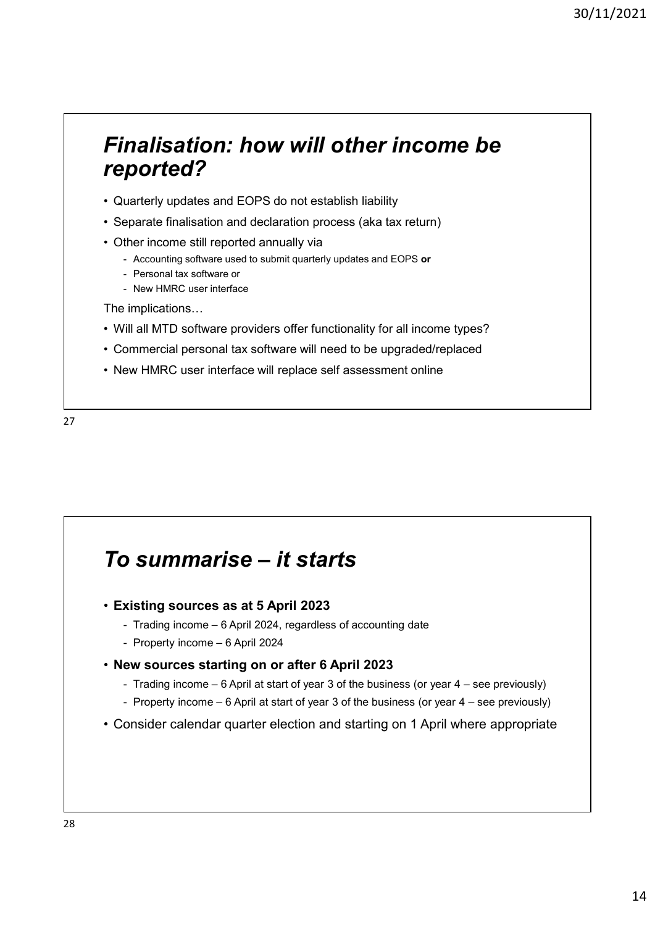## Finalisation: how will other income be reported? Finalisation: how will other income be<br>
reported?<br>
• Quarterly updates and EOPS do not establish liability<br>
• Separate finalisation and declaration process (aka tax return)<br>
• Other income still reported annually via<br>
• Ac Finalisation: how will other income be<br>
reported?<br>
• Quarterly updates and EOPS do not establish liability<br>
• Separate finalisation and declaration process (aka tax return)<br>
• Other income still reported annually via<br>
• Ac Finalisation: how will other income be<br>
reported?<br>
• Quarterly updates and EOPS do not establish liability<br>
• Separate finalisation and declaration process (aka tax return)<br>
• Other income still reported annually via<br>
• Ac **inalisation: how will other income be**<br> **ported?**<br>
Unarterly updates and EOPS do not establish liability<br>
peparate finalisation and declaration process (aka tax return)<br>
ther income still reported annually via<br>
- Accounti **Conserved Strates in the Strates Strates Strates Strates Strates Sports and EOPS do not establish liability**<br> **ported?**<br>
Personal tax software used to submit quarterly updates and EOPS or<br>
- Accounting software used to su **Communist Community Community Community**<br> **Communist Communist Communist Communist Communist Communist Communist Communist Communist<br>
Properate finalisation and declaration process (aka tax return)<br>
ther income still repo** Finalisation: how will other income be<br>
reported?<br>
• Quarterly updates and EOPS do not establish liability<br>
• Separate finalisation and declaration process (aka tax return)<br>
• Other income still reported annually via<br>
• Ac **Finalisation: how will other income be**<br> **reported?**<br>
• Quarterly updates and EOPS do not establish liability<br>
• Separate finalisation and declaration process (aka tax return)<br>
• Other income still reported annually via<br> Finalisation: how will other income be<br>
reported?<br>
• Quarterly updates and EOPS do not establish liability<br>
• Separate finalisation and declaration process (aka tax return)<br>
• Other income still reported annually via<br>
• Ac

- 
- 
- -
	-
	-

The implications…

- 
- 
- 



# The implications...<br>
New HMRC user interface<br>
The implications...<br>
Viil all MTD software providers offer functionality for all income types?<br>
Commercial personal tax software will need to be upgraded/replaced<br>
New HMRC use

- Existing sources as at 5 April 2023
	-
	-
- New sources starting on or after 6 April 2023
- Trading income 6 April 2024, regardless of accounting date
- Property income 6 April at start of year 3 of the business (or year 4 see previously)<br>- Property income 6 April 2023<br>- Trading income 6 April 2024, regardless of accounting date<br>- Property income 6 April 2024<br>
- **Communist Scale 2** of **Conserver Conserver Conserver Systems**<br>  $\frac{1}{2}$  and  $\frac{1}{2}$  and  $\frac{1}{2}$  and  $\frac{1}{2}$  and  $\frac{1}{2}$  and  $\frac{1}{2}$  are property income 6 April 2024, regardless of accounting date<br>  $\frac{1}{2}$ **SUMMATISE — It starts**<br>
Stating sources as at 5 April 2023<br>
- Trading income – 6 April 2024, regardless of accounting date<br>
- Property income – 6 April 2024<br>
are sources starting on or after 6 April 2023<br>
- Trading incom **Fo summarise – it starts**<br>• Existing sources as at 5 April 2023<br>• Trading income – 6 April 2024, regardless of accounting date<br>• Property income – 6 April 2024<br>• New sources starting on or after 6 April 2023<br>• Trading in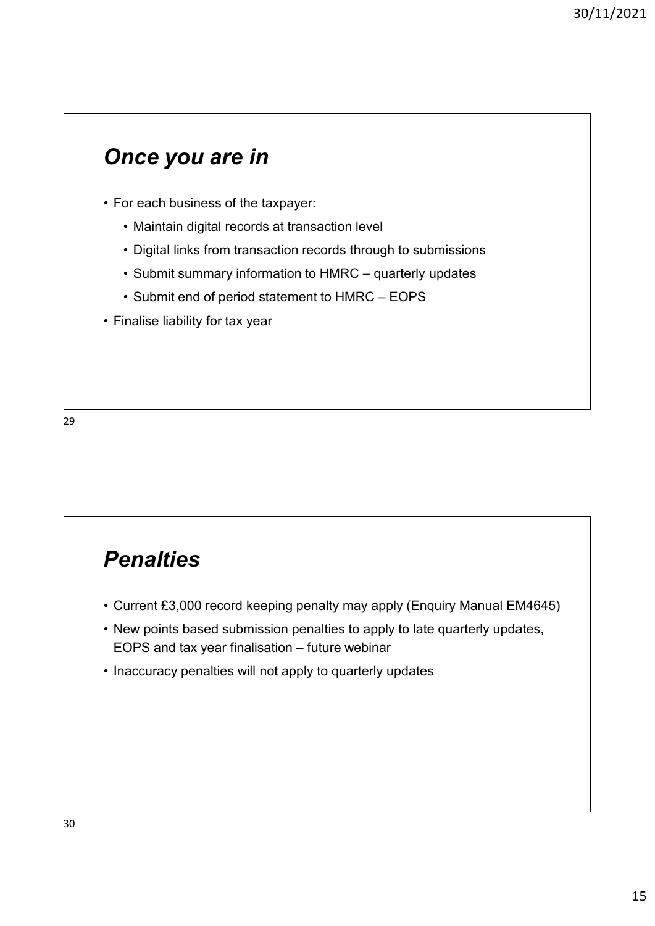#### Once you are in

- -
- **Once you are in**<br>• For each business of the taxpayer:<br>• Maintain digital records at transaction level<br>• Digital links from transaction records through to submissions<br>• Submit summary information to HMRC quarterly undat
- **nce you are in**<br>
or each business of the taxpayer:<br>
 Maintain digital records at transaction level<br>
 Digital links from transaction records through to submissions<br>
 Submit summary information to HMRC quarterly update • Digital links from transaction records through to submissions 90/11/2021<br> **COLOGE STATE SUBMONE SUBMONE SUBMONE SUBMONE SUBMONE SUBMONE SUBMONE SUBMONE CONTRACT CONTRACT CONTRACT - CONTRACT - QUARTERLY UPDATES<br>
• Submit summary information to HMRC – quarterly updates<br>
• Submit end o** • Submit end of period statement to HMRC – EOPS<br>
For each business of the taxpayer:<br>
• Maintain digital records at transaction level<br>
• Digital links from transaction records through to submissions<br>
• Submit summary info **Once you are in**<br>• For each business of the taxpayer:<br>• Maintain digital records at transaction level<br>• Digital links from transaction records through to submission<br>• Submit summary information to HMRC – quarterly updates
	-
- 

#### **Penalties**

- 
- Finalise liability for tax year<br>• Current £3,000 record keeping penalty may apply (Enquiry Manual EM4645)<br>• New points based submission penalties to apply to late quarterly updates,<br>• EOPS and tax year finalisation fut **Penalties**<br>• Current £3,000 record keeping penalty may apply (Enquiry Manual EM4645)<br>• New points based submission penalties to apply to late quarterly updates,<br>• EOPS and tax year finalisation – future webinar<br>• Inaccura **Penalties**<br>
Current £3,000 record keeping penalty may apply (Enquiry Manual EM4645)<br>
New points based submission penalties to apply to late quarterly updates,<br>
EOPS and tax year finalisation – future webinar<br>
Inaccuracy p **Penalties**<br>• Current £3,000 record keeping penalty may apply (Enquiry Manual EM4645)<br>• New points based submission penalties to apply to late quarterly updates,<br>• EOPS and tax year finalisation – future webinar<br>• Inaccura
-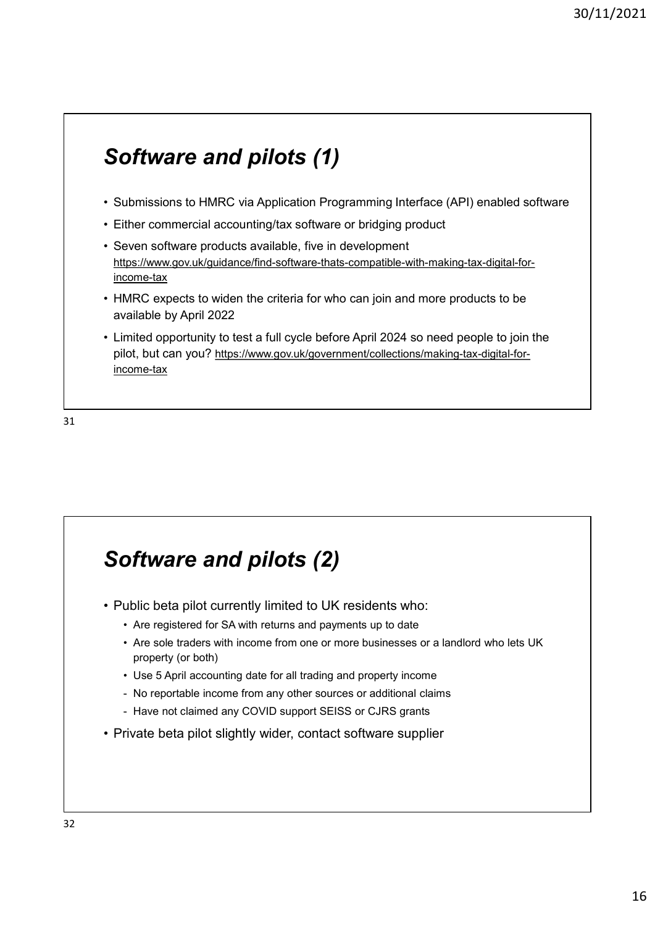#### Software and pilots (1)

- 
- 
- <sup>90/11/2021<br>• Submissions to HMRC via Application Programming Interface (API) enabled software<br>• Either commercial accounting/tax software or bridging product<br>• Seven software products available, five in development<br>https:</sup> **Software and pilots (1)**<br>• Submissions to HMRC via Application Programming Interface (API) enabled soft<br>• Either commercial accounting/tax software or bridging product<br>• Seven software products available, five in developm **Software and pilots (1)**<br>• Submissions to HMRC via Application Programming Interface (API) enab<br>• Either commercial accounting/tax software or bridging product<br>• Seven software products available, five in development<br><u>htt</u> https://www.gov.uk/guidance/find-software-thats-compatible-with-making-tax-digital-forincome-tax **Software and pilots (1)**<br>• Submissions to HMRC via Application Programming Interface (API) enabled software<br>• Either commercial accounting/tax software or bridging product<br>• Seven software products available, five in deve
- available by April 2022
- **Software and pilots (1)**<br>• Submissions to HMRC via Application Programming Interface (API) enabled software<br>• Either commercial accounting/tax software or bridging product<br>• Seven software products available, five in deve pilot, but can you? https://www.gov.uk/government/collections/making-tax-digital-forincome-tax

31

## Software and pilots (2) • Limitato apportunity to test a full cycle before April 2024 so need people to join<br>
pilot, but can you? <u>https://www.gov.uk/government/collections/making-tax-digital-forone-tax</u><br>
income-tax<br>
• Public beta pilot currently mineu opporumy to test a run cycle before Aphil 2024 so heed people to join the<br>hot, but can you? https://www.gov.uk/government/collections/making-tax-digital-for-<br>come-tax<br>which beta pilot currently limited to UK resident **Find the sole of the sole traders with income from one or more business with income from one or**  $\mathcal{A}$  **and**  $\mathcal{A}$  **and**  $\mathcal{A}$  **and**  $\mathcal{A}$  **are a constant of**  $\mathcal{A}$  **and**  $\mathcal{A}$  **are**  $\mathcal{A}$  **are a constant of \mathcal{** property (or both) **Fit ware and pilots (2)**<br>
While beta pilot currently limited to UK residents who:<br>
Are registered for SA with returns and payments up to date<br>
Are sole traders with income from one or more businesses or a landlord who let **of tware and pilots (2)**<br>while beta pilot currently limited to UK residents who:<br>• Are registered for SA with returns and payments up to date<br>• Are sole traders with income from one or more businesses or a landlord who le **Software and pilots (2)**<br>
Unitic beta pilot currently limited to UK residents who:<br>
Are registered for SA with returns and payments up to date<br>
Are sole traders with income from one or more businesses or a landlord who le **Software and pilots (2)**<br>• Public beta pilot currently limited to UK residents who:<br>• Are registered for SA with returns and payments up to date<br>• Are sole traders with income from one or more businesses or a landlord who

- 
- 
- 
-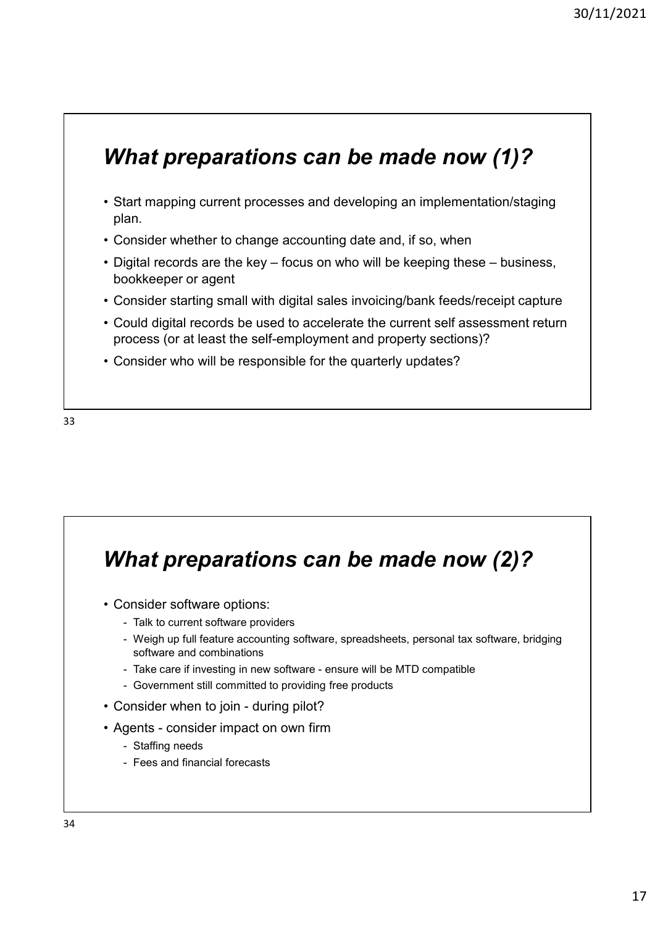#### What preparations can be made now (1)?

- <sup>30/11/2021</sup><br> **What preparations can be made now (1)?**<br>
 Start mapping current processes and developing an implementation/staging<br>
 Consider whether to change accounting date and, if so, when<br>
 Digital records are the k plan. <sup>30/11/2021</sup><br> **What preparations can be made now (1)?**<br>
• Start mapping current processes and developing an implementation/staging<br>
plan.<br>
• Consider whether to change accounting date and, if so, when<br>
• Digital records ar <sup>30/11/2021</sup><br> **What preparations can be made now (1)?**<br>
• Start mapping current processes and developing an implementation/staging<br>
plan.<br>
• Consider whether to change accounting date and, if so, when<br>
• Digital records ar
- 
- bookkeeper or agent
- 
- **What preparations can be made now (1)?**<br>• Start mapping current processes and developing an implementation/staging<br>plan.<br>• Consider whether to change accounting date and, if so, when<br>• Digital records are the key focus **What preparations can be made now (1)?**<br>• Start mapping current processes and developing an implementation/staging<br>plan.<br>• Consider whether to change accounting date and, if so, when<br>• Digital records are the key – focus process (or at least the self-employment and property sections)? What preparations can be made now (1)?<br>• Start mapping current processes and developing an implementation/staging<br>
plan.<br>• Consider whether to change accounting date and, if so, when<br>• Digital records are the key – focus o
- 



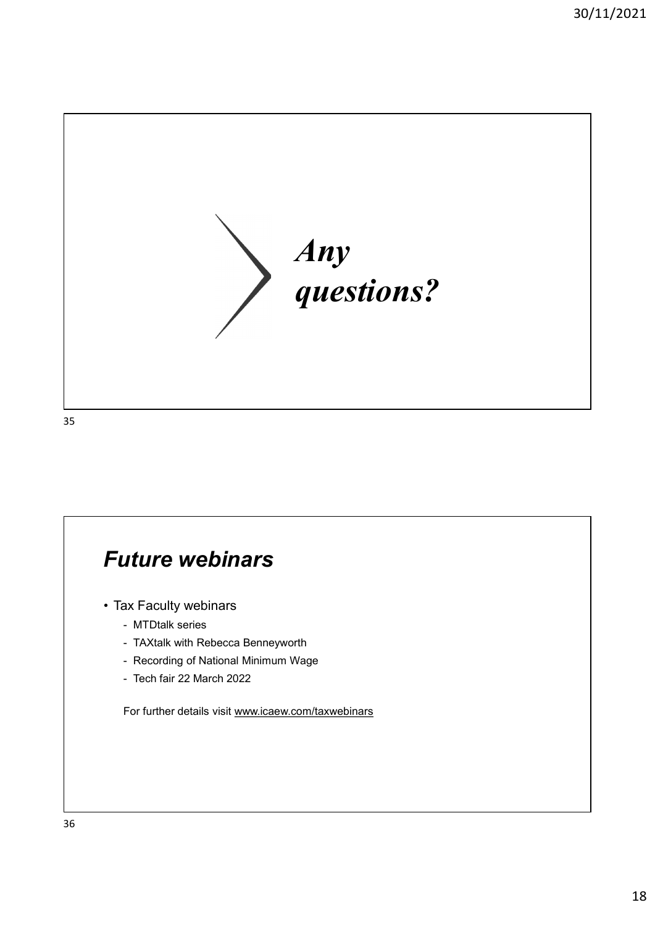